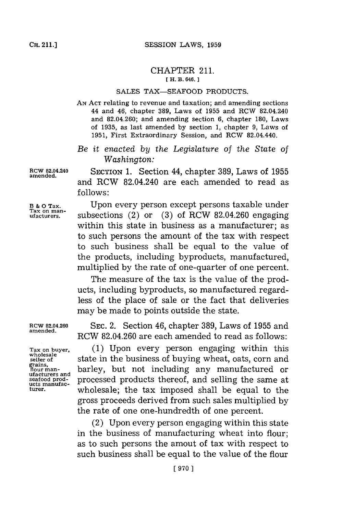## CHAPTER **211. [ H. B. 646.1**

## **SALES TAX-SEAFOOD PRODUCTS.**

**AN ACT** relating to revenue and taxation; and amending sections 44 and 46, chapter **389,** Laws of **1955** and RCW 82.04.240 and 82,04.260; and amending section **6,** chapter **180,** Laws of **1935,** as last amended **by** section **1,** chapter **9,** Laws of **1951,** First Extraordinary Session, and RCW 82.04.440.

*Be it enacted by the Legislature of the State of Washington:*

**RCW 82.04.240** SECTION **1.** Section 44, chapter **389,** Laws of **1955** and RCW 82.04.240 are each amended to read as **follows:**

**B & 0 Tax.** Upon every person except persons taxable under **Tax on man- ufacturers,** subsections (2) or **(3)** of RCW 82.04.260 engaging within this state in business as a manufacturer; as to such persons the amount of the tax with respect to such business shall be equal to the value of the products, including byproducts, manufactured, multiplied **by** the rate of one-quarter of one percent.

> The measure of the tax is the value of the products, including byproducts, so manufactured regardless of the place of sale or the fact that deliveries may be made to points outside the state.

RCW 82.04.260 SEc. 2. Section 46, chapter **389,** Laws of **1955** and RCW 82.04.260 are each amended to read as follows:

**Tax on buyer, (1)** Upon every person engaging within this wholesale<br>seller of a state in the business of buying wheat, oats, corn and<br>flour man-<br>hour man-<br>barley, but not including any manufactured or barley, but not including any manufactured or **seafood prod-** processed products thereof, and selling the same at understanding the same at understanding the same at  $\frac{1}{2}$  understanding to the tax imposed shall be equal to the wholesale; the tax imposed shall be equal to the gross proceeds derived from such sales multiplied **by** the rate of one one-hundredth of one percent.

> (2) Upon every person engaging within this state in the business of manufacturing wheat into flour; as to such persons the amout of tax with respect to such business shall be equal to the value of the flour

**wholesale** ufacturers and<br>seafood prod-

**amended.**